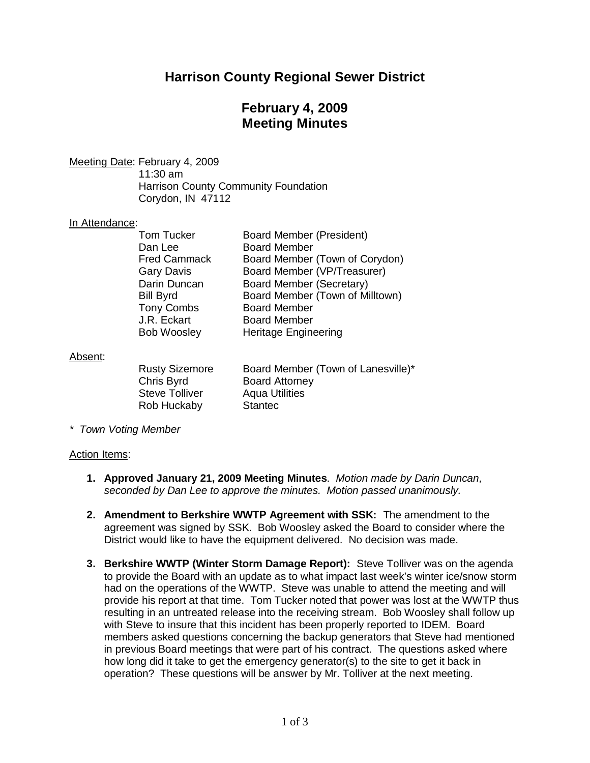# **Harrison County Regional Sewer District**

# **February 4, 2009 Meeting Minutes**

Meeting Date: February 4, 2009

11:30 am Harrison County Community Foundation Corydon, IN 47112

#### In Attendance:

| <b>Tom Tucker</b>   | <b>Board Member (President)</b> |
|---------------------|---------------------------------|
| Dan Lee             | <b>Board Member</b>             |
| <b>Fred Cammack</b> | Board Member (Town of Corydon)  |
| <b>Gary Davis</b>   | Board Member (VP/Treasurer)     |
| Darin Duncan        | <b>Board Member (Secretary)</b> |
| <b>Bill Byrd</b>    | Board Member (Town of Milltown) |
| <b>Tony Combs</b>   | <b>Board Member</b>             |
| J.R. Eckart         | <b>Board Member</b>             |
| <b>Bob Woosley</b>  | <b>Heritage Engineering</b>     |

#### Absent:

| <b>Rusty Sizemore</b> |
|-----------------------|
| Chris Byrd            |
| Steve Tolliver        |
| Rob Huckaby           |

Board Member (Town of Lanesville)\* Board Attorney **Aqua Utilities** Stantec

*\* Town Voting Member*

#### Action Items:

- **1. Approved January 21, 2009 Meeting Minutes**. *Motion made by Darin Duncan, seconded by Dan Lee to approve the minutes. Motion passed unanimously.*
- **2. Amendment to Berkshire WWTP Agreement with SSK:** The amendment to the agreement was signed by SSK. Bob Woosley asked the Board to consider where the District would like to have the equipment delivered. No decision was made.
- **3. Berkshire WWTP (Winter Storm Damage Report):** Steve Tolliver was on the agenda to provide the Board with an update as to what impact last week's winter ice/snow storm had on the operations of the WWTP. Steve was unable to attend the meeting and will provide his report at that time. Tom Tucker noted that power was lost at the WWTP thus resulting in an untreated release into the receiving stream. Bob Woosley shall follow up with Steve to insure that this incident has been properly reported to IDEM. Board members asked questions concerning the backup generators that Steve had mentioned in previous Board meetings that were part of his contract. The questions asked where how long did it take to get the emergency generator(s) to the site to get it back in operation? These questions will be answer by Mr. Tolliver at the next meeting.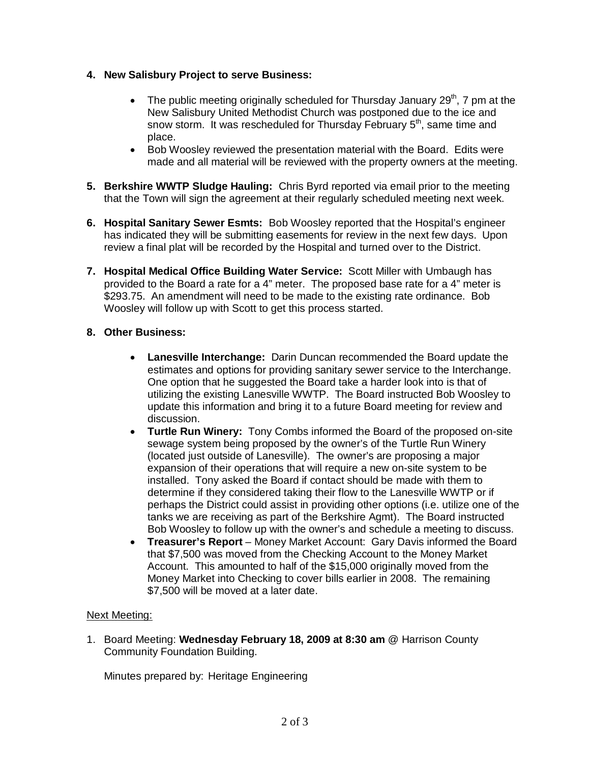## **4. New Salisbury Project to serve Business:**

- The public meeting originally scheduled for Thursday January  $29<sup>th</sup>$ , 7 pm at the New Salisbury United Methodist Church was postponed due to the ice and snow storm. It was rescheduled for Thursday February  $5<sup>th</sup>$ , same time and place.
- Bob Woosley reviewed the presentation material with the Board. Edits were made and all material will be reviewed with the property owners at the meeting.
- **5. Berkshire WWTP Sludge Hauling:** Chris Byrd reported via email prior to the meeting that the Town will sign the agreement at their regularly scheduled meeting next week.
- **6. Hospital Sanitary Sewer Esmts:** Bob Woosley reported that the Hospital's engineer has indicated they will be submitting easements for review in the next few days. Upon review a final plat will be recorded by the Hospital and turned over to the District.
- **7. Hospital Medical Office Building Water Service:** Scott Miller with Umbaugh has provided to the Board a rate for a 4" meter. The proposed base rate for a 4" meter is \$293.75. An amendment will need to be made to the existing rate ordinance. Bob Woosley will follow up with Scott to get this process started.

## **8. Other Business:**

- **Lanesville Interchange:** Darin Duncan recommended the Board update the estimates and options for providing sanitary sewer service to the Interchange. One option that he suggested the Board take a harder look into is that of utilizing the existing Lanesville WWTP. The Board instructed Bob Woosley to update this information and bring it to a future Board meeting for review and discussion.
- **Turtle Run Winery:** Tony Combs informed the Board of the proposed on-site sewage system being proposed by the owner's of the Turtle Run Winery (located just outside of Lanesville). The owner's are proposing a major expansion of their operations that will require a new on-site system to be installed. Tony asked the Board if contact should be made with them to determine if they considered taking their flow to the Lanesville WWTP or if perhaps the District could assist in providing other options (i.e. utilize one of the tanks we are receiving as part of the Berkshire Agmt). The Board instructed Bob Woosley to follow up with the owner's and schedule a meeting to discuss.
- **Treasurer's Report** Money Market Account: Gary Davis informed the Board that \$7,500 was moved from the Checking Account to the Money Market Account. This amounted to half of the \$15,000 originally moved from the Money Market into Checking to cover bills earlier in 2008. The remaining \$7,500 will be moved at a later date.

## Next Meeting:

1. Board Meeting: **Wednesday February 18, 2009 at 8:30 am** @ Harrison County Community Foundation Building.

Minutes prepared by: Heritage Engineering